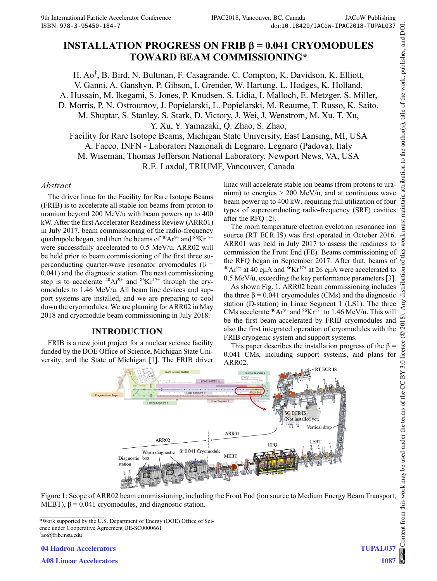# **INSTALLATION PROGRESS ON FRIB**  $\beta$  **= 0.041 CRYOMODULES TOWARD BEAM COMMISSIONING\***

H. Ao† , B. Bird, N. Bultman, F. Casagrande, C. Compton, K. Davidson, K. Elliott, V. Ganni, A. Ganshyn, P. Gibson, I. Grender, W. Hartung, L. Hodges, K. Holland, A. Hussain, M. Ikegami, S. Jones, P. Knudsen, S. Lidia, I. Malloch, E. Metzger, S. Miller, D. Morris, P. N. Ostroumov, J. Popielarski, L. Popielarski, M. Reaume, T. Russo, K. Saito, M. Shuptar, S. Stanley, S. Stark, D. Victory, J. Wei, J. Wenstrom, M. Xu, T. Xu, Y. Xu, Y. Yamazaki, Q. Zhao, S. Zhao, Facility for Rare Isotope Beams, Michigan State University, East Lansing, MI, USA

A. Facco, INFN - Laboratori Nazionali di Legnaro, Legnaro (Padova), Italy M. Wiseman, Thomas Jefferson National Laboratory, Newport News, VA, USA

R.E. Laxdal, TRIUMF, Vancouver, Canada

#### *Abstract*

The driver linac for the Facility for Rare Isotope Beams (FRIB) is to accelerate all stable ion beams from proton to uranium beyond 200 MeV/u with beam powers up to 400 kW. After the first Accelerator Readiness Review (ARR01) in July 2017, beam commissioning of the radio-frequency quadrupole began, and then the beams of  $^{40}Ar^{9+}$  and  $^{86}Kr^{17+}$ were successfully accelerated to 0.5 MeV/u. ARR02 will be held prior to beam commissioning of the first three superconducting quarter-wave resonator cryomodules (β = 0.041) and the diagnostic station. The next commissioning step is to accelerate  $^{40}Ar^{9+}$  and  $^{86}Kr^{17+}$  through the cryomodules to 1.46 MeV/u. All beam line devices and support systems are installed, and we are preparing to cool down the cryomodules. We are planning for ARR02 in May 2018 and cryomodule beam commissioning in July 2018.

## **INTRODUCTION**

FRIB is a new joint project for a nuclear science facility funded by the DOE Office of Science, Michigan State University, and the State of Michigan [1]. The FRIB driver linac will accelerate stable ion beams (from protons to uranium) to energies > 200 MeV/u, and at continuous wave beam power up to 400 kW, requiring full utilization of four types of superconducting radio-frequency (SRF) cavities after the RFQ [2].

The room temperature electron cyclotron resonance ion source (RT ECR IS) was first operated in October 2016. ARR01 was held in July 2017 to assess the readiness to commission the Front End (FE). Beams commissioning of the RFQ began in September 2017. After that, beams of  $^{40}Ar^{9+}$  at 40 eµA and  $^{86}Kr^{17+}$  at 26 eµA were accelerated to  $0.5$  MeV/u, exceeding the key performance parameters [3].

As shown Fig. 1, ARR02 beam commissioning includes the three  $\beta = 0.041$  cryomodules (CMs) and the diagnostic station (D-station) in Linac Segment 1 (LS1). The three CMs accelerate  $^{40}Ar^{9+}$  and  $^{86}Kr^{17+}$  to 1.46 MeV/u. This will be the first beam accelerated by FRIB cryomodules and also the first integrated operation of cryomodules with the FRIB cryogenic system and support systems.

This paper describes the installation progress of the  $\beta$  = 0.041 CMs, including support systems, and plans for ARR02.





<sup>\*</sup>Work supported by the U.S. Department of Energy (DOE) Office of Science under Cooperative Agreement DE-SC0000661 † ao@frib.msu.edu

**04 Hadron Accelerators**

**A08 Linear Accelerators**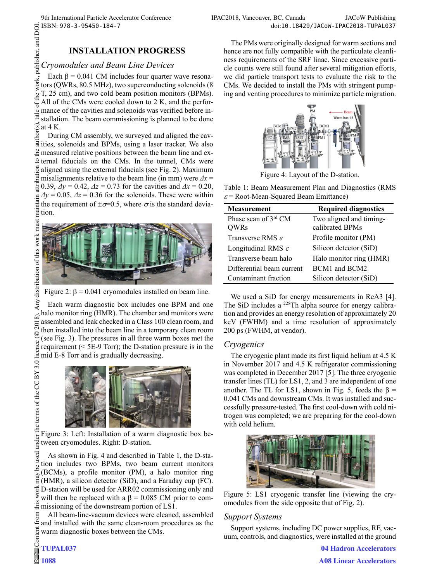## **INSTALLATION PROGRESS**

### *Cryomodules and Beam Line Devices*

Each  $\beta$  = 0.041 CM includes four quarter wave resonawork. tors (QWRs, 80.5 MHz), two superconducting solenoids (8 T, 25 cm), and two cold beam position monitors (BPMs). All of the CMs were cooled down to 2 K, and the performance of the cavities and solenoids was verified before installation. The beam commissioning is planned to be done at 4 K.

During CM assembly, we surveyed and aligned the cavities, solenoids and BPMs, using a laser tracker. We also  $\frac{3}{2}$  measured relative positions between the beam line and ex- $\beta$  ternal fiducials on the CMs. In the tunnel, CMs were aligned using the external fiducials (see Fig. 2). Maximum misalignments relative to the beam line (in mm) were *Δx* =  $\frac{1}{2}$  0.39,  $\Delta y = 0.42$ ,  $\Delta z = 0.73$  for the cavities and  $\Delta x = 0.20$ ,  $\Delta y = 0.05$ ,  $\Delta z = 0.36$  for the solenoids. These were within the requirement of  $\pm \sigma = 0.5$ , where  $\sigma$  is the standard devia- $\frac{dy}{dt} = \frac{dy}{dt}$ <br>the r



Figure 2:  $\beta$  = 0.041 cryomodules installed on beam line.

Each warm diagnostic box includes one BPM and one halo monitor ring (HMR). The chamber and monitors were 2018). assembled and leak checked in a Class 100 clean room, and then installed into the beam line in a temporary clean room ©(see Fig. 3). The pressures in all three warm boxes met the licence requirement (< 5E-9 Torr); the D-station pressure is in the mid E-8 Torr and is gradually decreasing. under the terms of the CC BY 3.0



Figure 3: Left: Installation of a warm diagnostic box between cryomodules. Right: D-station.

Content from this work may be used under the terms of the CC BY 3.0 licence ( $\epsilon$ As shown in Fig. 4 and described in Table 1, the D-station includes two BPMs, two beam current monitors (BCMs), a profile monitor (PM), a halo monitor ring  $\sum_{i=1}^{\infty}$  (BCINS), a prome moment (1.0,  $\frac{1}{2}$  and a Faraday cup (FC).  $\frac{1}{6}$  D-station will be used for ARR02 commissioning only and ¥ will then be replaced with a  $β = 0.085$  CM prior to com- $\ddot{\ddot{\mathbf{\Xi}}}$  missioning of the downstream portion of LS1.

All beam-line-vacuum devices were cleaned, assembled and installed with the same clean-room procedures as the warm diagnostic boxes between the CMs.

from tem

The PMs were originally designed for warm sections and hence are not fully compatible with the particulate cleanliness requirements of the SRF linac. Since excessive particle counts were still found after several mitigation efforts, we did particle transport tests to evaluate the risk to the CMs. We decided to install the PMs with stringent pumping and venting procedures to minimize particle migration.



Figure 4: Layout of the D-station.

Table 1: Beam Measurement Plan and Diagnostics (RMS  $\varepsilon$  = Root-Mean-Squared Beam Emittance)

| <b>Measurement</b>                  | <b>Required diagnostics</b>                |
|-------------------------------------|--------------------------------------------|
| Phase scan of 3rd CM<br><b>OWRs</b> | Two aligned and timing-<br>calibrated BPMs |
| Transverse RMS $\varepsilon$        | Profile monitor (PM)                       |
| Longitudinal RMS $\varepsilon$      | Silicon detector (SiD)                     |
| Transverse beam halo                | Halo monitor ring (HMR)                    |
| Differential beam current           | BCM1 and BCM2                              |
| Contaminant fraction                | Silicon detector (SiD)                     |

We used a SiD for energy measurements in ReA3 [4]. The SiD includes a <sup>228</sup>Th alpha source for energy calibration and provides an energy resolution of approximately 20 keV (FWHM) and a time resolution of approximately 200 ps (FWHM, at vendor).

## *Cryogenics*

The cryogenic plant made its first liquid helium at 4.5 K in November 2017 and 4.5 K refrigerator commissioning was completed in December 2017 [5]. The three cryogenic transfer lines (TL) for LS1, 2, and 3 are independent of one another. The TL for LS1, shown in Fig. 5, feeds the  $\beta$  = 0.041 CMs and downstream CMs. It was installed and successfully pressure-tested. The first cool-down with cold nitrogen was completed; we are preparing for the cool-down with cold helium.



Figure 5: LS1 cryogenic transfer line (viewing the cryomodules from the side opposite that of Fig. 2).

## *Support Systems*

Support systems, including DC power supplies, RF, vacuum, controls, and diagnostics, were installed at the ground

> **04 Hadron Accelerators A08 Linear Accelerators**